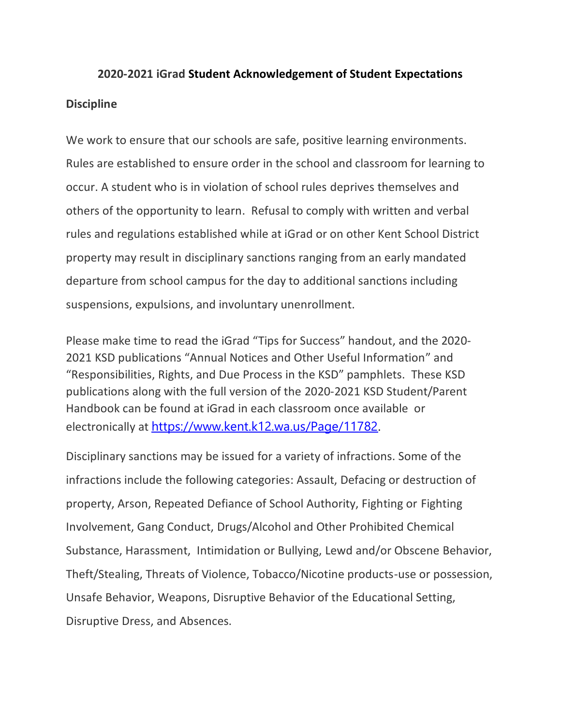# **2020-2021 iGrad Student Acknowledgement of Student Expectations Discipline**

We work to ensure that our schools are safe, positive learning environments. Rules are established to ensure order in the school and classroom for learning to occur. A student who is in violation of school rules deprives themselves and others of the opportunity to learn. Refusal to comply with written and verbal rules and regulations established while at iGrad or on other Kent School District property may result in disciplinary sanctions ranging from an early mandated departure from school campus for the day to additional sanctions including suspensions, expulsions, and involuntary unenrollment.

Please make time to read the iGrad "Tips for Success" handout, and the 2020- 2021 KSD publications "Annual Notices and Other Useful Information" and "Responsibilities, Rights, and Due Process in the KSD" pamphlets. These KSD publications along with the full version of the 2020-2021 KSD Student/Parent Handbook can be found at iGrad in each classroom once available or electronically at [https://www.kent.k12.wa.us/Page/11782.](https://nam02.safelinks.protection.outlook.com/?url=https%3A%2F%2Fwww.kent.k12.wa.us%2FPage%2F11782&data=02%7C01%7CCarol.Cleveland%40kent.k12.wa.us%7C54dca838f0864904552608d84b9a006a%7C773029edd6c2480ba5a2281c6d30235e%7C0%7C0%7C637342472384072649&sdata=XIPm%2B68KRgQ6%2F5ogEv5mbsmMVf6vpdjf8mXaNW5gRCg%3D&reserved=0)

Disciplinary sanctions may be issued for a variety of infractions. Some of the infractions include the following categories: Assault, Defacing or destruction of property, Arson, Repeated Defiance of School Authority, Fighting or Fighting Involvement, Gang Conduct, Drugs/Alcohol and Other Prohibited Chemical Substance, Harassment, Intimidation or Bullying, Lewd and/or Obscene Behavior, Theft/Stealing, Threats of Violence, Tobacco/Nicotine products-use or possession, Unsafe Behavior, Weapons, Disruptive Behavior of the Educational Setting, Disruptive Dress, and Absences.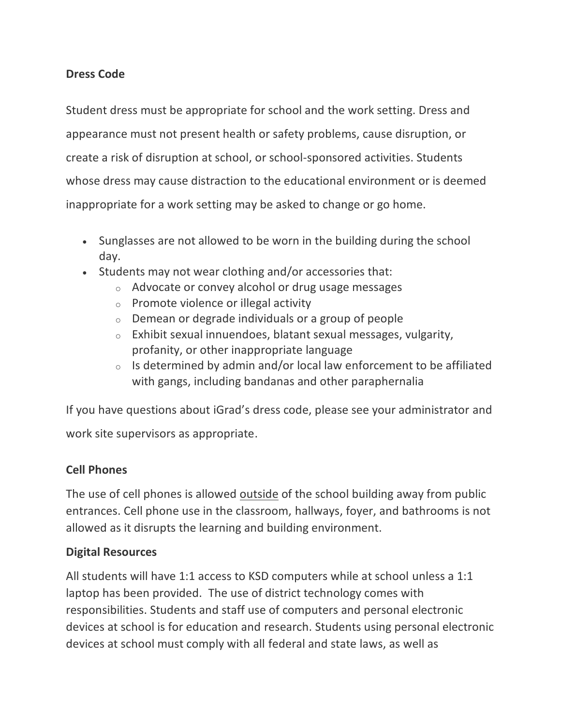### **Dress Code**

Student dress must be appropriate for school and the work setting. Dress and appearance must not present health or safety problems, cause disruption, or create a risk of disruption at school, or school-sponsored activities. Students whose dress may cause distraction to the educational environment or is deemed inappropriate for a work setting may be asked to change or go home.

- Sunglasses are not allowed to be worn in the building during the school day.
- Students may not wear clothing and/or accessories that:
	- o Advocate or convey alcohol or drug usage messages
	- o Promote violence or illegal activity
	- o Demean or degrade individuals or a group of people
	- o Exhibit sexual innuendoes, blatant sexual messages, vulgarity, profanity, or other inappropriate language
	- $\circ$  Is determined by admin and/or local law enforcement to be affiliated with gangs, including bandanas and other paraphernalia

If you have questions about iGrad's dress code, please see your administrator and work site supervisors as appropriate.

## **Cell Phones**

The use of cell phones is allowed outside of the school building away from public entrances. Cell phone use in the classroom, hallways, foyer, and bathrooms is not allowed as it disrupts the learning and building environment.

### **Digital Resources**

All students will have 1:1 access to KSD computers while at school unless a 1:1 laptop has been provided. The use of district technology comes with responsibilities. Students and staff use of computers and personal electronic devices at school is for education and research. Students using personal electronic devices at school must comply with all federal and state laws, as well as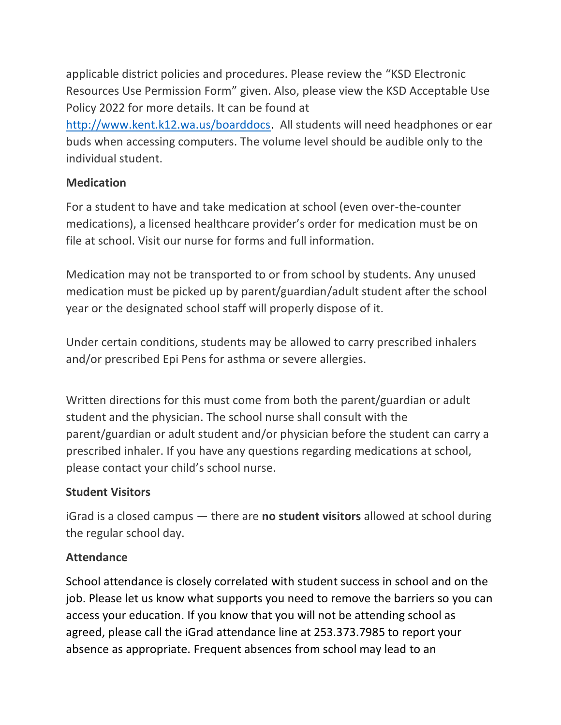applicable district policies and procedures. Please review the "KSD Electronic Resources Use Permission Form" given. Also, please view the KSD Acceptable Use Policy 2022 for more details. It can be found at [http://www.kent.k12.wa.us/boarddocs.](http://www.kent.k12.wa.us/boarddocs) All students will need headphones or ear buds when accessing computers. The volume level should be audible only to the individual student.

### **Medication**

For a student to have and take medication at school (even over-the-counter medications), a licensed healthcare provider's order for medication must be on file at school. Visit our nurse for forms and full information.

Medication may not be transported to or from school by students. Any unused medication must be picked up by parent/guardian/adult student after the school year or the designated school staff will properly dispose of it.

Under certain conditions, students may be allowed to carry prescribed inhalers and/or prescribed Epi Pens for asthma or severe allergies.

Written directions for this must come from both the parent/guardian or adult student and the physician. The school nurse shall consult with the parent/guardian or adult student and/or physician before the student can carry a prescribed inhaler. If you have any questions regarding medications at school, please contact your child's school nurse.

## **Student Visitors**

iGrad is a closed campus — there are **no student visitors** allowed at school during the regular school day.

### **Attendance**

School attendance is closely correlated with student success in school and on the job. Please let us know what supports you need to remove the barriers so you can access your education. If you know that you will not be attending school as agreed, please call the iGrad attendance line at 253.373.7985 to report your absence as appropriate. Frequent absences from school may lead to an